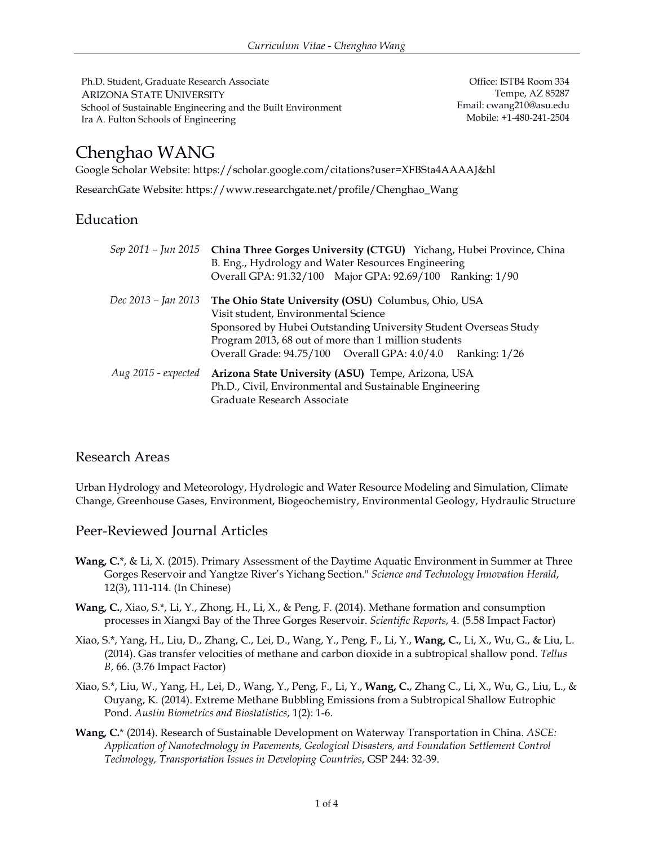Ph.D. Student, Graduate Research Associate ARIZONA STATE UNIVERSITY School of Sustainable Engineering and the Built Environment Ira A. Fulton Schools of Engineering

Office: ISTB4 Room 334 Tempe, AZ 85287 Email: cwang210@asu.edu Mobile: +1-480-241-2504

# Chenghao WANG

Google Scholar Website: https://scholar.google.com/citations?user=XFBSta4AAAAJ&hl

ResearchGate Website: https://www.researchgate.net/profile/Chenghao\_Wang

# Education

|                       | Sep 2011 - Jun 2015 China Three Gorges University (CTGU) Yichang, Hubei Province, China<br>B. Eng., Hydrology and Water Resources Engineering<br>Overall GPA: 91.32/100 Major GPA: 92.69/100 Ranking: 1/90 |
|-----------------------|------------------------------------------------------------------------------------------------------------------------------------------------------------------------------------------------------------|
| Dec 2013 – Jan 2013   | The Ohio State University (OSU) Columbus, Ohio, USA                                                                                                                                                        |
|                       | Visit student, Environmental Science                                                                                                                                                                       |
|                       | Sponsored by Hubei Outstanding University Student Overseas Study                                                                                                                                           |
|                       | Program 2013, 68 out of more than 1 million students                                                                                                                                                       |
|                       | Overall Grade: 94.75/100 Overall GPA: 4.0/4.0 Ranking: 1/26                                                                                                                                                |
| Aug $2015$ - expected | Arizona State University (ASU) Tempe, Arizona, USA                                                                                                                                                         |
|                       | Ph.D., Civil, Environmental and Sustainable Engineering                                                                                                                                                    |
|                       | Graduate Research Associate                                                                                                                                                                                |

## Research Areas

Urban Hydrology and Meteorology, Hydrologic and Water Resource Modeling and Simulation, Climate Change, Greenhouse Gases, Environment, Biogeochemistry, Environmental Geology, Hydraulic Structure

## Peer-Reviewed Journal Articles

- **Wang, C.**\*, & Li, X. (2015). Primary Assessment of the Daytime Aquatic Environment in Summer at Three Gorges Reservoir and Yangtze River's Yichang Section." *Science and Technology Innovation Herald*, 12(3), 111-114. (In Chinese)
- **Wang, C.**, Xiao, S.\*, Li, Y., Zhong, H., Li, X., & Peng, F. (2014). Methane formation and consumption processes in Xiangxi Bay of the Three Gorges Reservoir. *Scientific Reports*, 4. (5.58 Impact Factor)
- Xiao, S.\*, Yang, H., Liu, D., Zhang, C., Lei, D., Wang, Y., Peng, F., Li, Y., **Wang, C.**, Li, X., Wu, G., & Liu, L. (2014). Gas transfer velocities of methane and carbon dioxide in a subtropical shallow pond. *Tellus B*, 66. (3.76 Impact Factor)
- Xiao, S.\*, Liu, W., Yang, H., Lei, D., Wang, Y., Peng, F., Li, Y., **Wang, C.**, Zhang C., Li, X., Wu, G., Liu, L., & Ouyang, K. (2014). Extreme Methane Bubbling Emissions from a Subtropical Shallow Eutrophic Pond. *Austin Biometrics and Biostatistics*, 1(2): 1-6.
- **Wang, C.**\* (2014). Research of Sustainable Development on Waterway Transportation in China. *ASCE: Application of Nanotechnology in Pavements, Geological Disasters, and Foundation Settlement Control Technology, Transportation Issues in Developing Countries*, GSP 244: 32-39.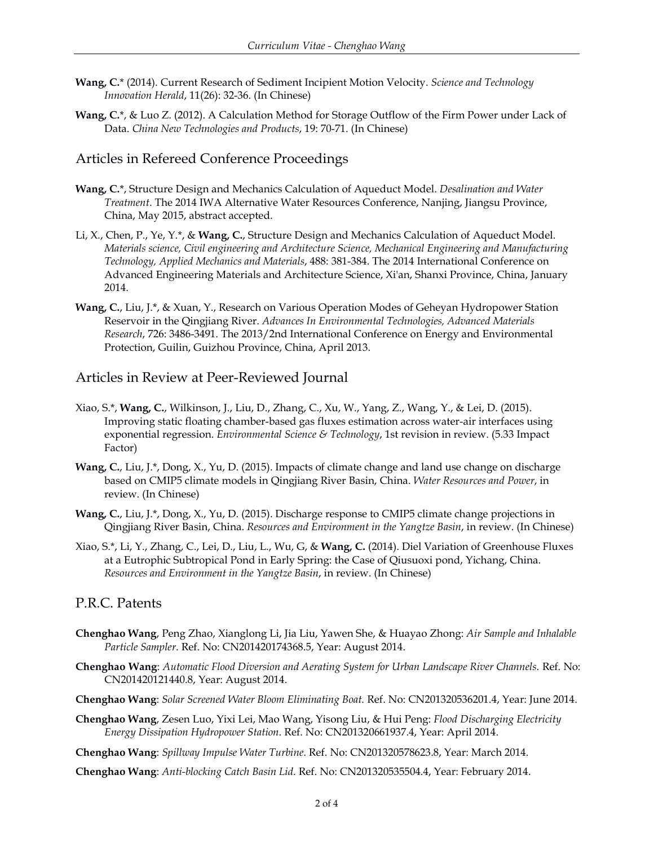- **Wang, C.**\* (2014). Current Research of Sediment Incipient Motion Velocity. *Science and Technology Innovation Herald*, 11(26): 32-36. (In Chinese)
- **Wang, C.**\*, & Luo Z. (2012). A Calculation Method for Storage Outflow of the Firm Power under Lack of Data. *China New Technologies and Products*, 19: 70-71. (In Chinese)

### Articles in Refereed Conference Proceedings

- **Wang, C.**\*, Structure Design and Mechanics Calculation of Aqueduct Model. *Desalination and Water Treatment*. The 2014 IWA Alternative Water Resources Conference, Nanjing, Jiangsu Province, China, May 2015, abstract accepted.
- Li, X., Chen, P., Ye, Y.\*, & **Wang, C.**, Structure Design and Mechanics Calculation of Aqueduct Model. *Materials science, Civil engineering and Architecture Science, Mechanical Engineering and Manufacturing Technology, Applied Mechanics and Materials*, 488: 381-384. The 2014 International Conference on Advanced Engineering Materials and Architecture Science, Xi'an, Shanxi Province, China, January 2014.
- **Wang, C.**, Liu, J.\*, & Xuan, Y., Research on Various Operation Modes of Geheyan Hydropower Station Reservoir in the Qingjiang River. *Advances In Environmental Technologies, Advanced Materials Research*, 726: 3486-3491. The 2013/2nd International Conference on Energy and Environmental Protection, Guilin, Guizhou Province, China, April 2013.

#### Articles in Review at Peer-Reviewed Journal

- Xiao, S.\*, **Wang, C.**, Wilkinson, J., Liu, D., Zhang, C., Xu, W., Yang, Z., Wang, Y., & Lei, D. (2015). Improving static floating chamber-based gas fluxes estimation across water-air interfaces using exponential regression. *Environmental Science & Technology*, 1st revision in review. (5.33 Impact Factor)
- **Wang, C.**, Liu, J.\*, Dong, X., Yu, D. (2015). Impacts of climate change and land use change on discharge based on CMIP5 climate models in Qingjiang River Basin, China. *Water Resources and Power*, in review. (In Chinese)
- **Wang, C.**, Liu, J.\*, Dong, X., Yu, D. (2015). Discharge response to CMIP5 climate change projections in Qingjiang River Basin, China. *Resources and Environment in the Yangtze Basin*, in review. (In Chinese)
- Xiao, S.\*, Li, Y., Zhang, C., Lei, D., Liu, L., Wu, G, & **Wang, C.** (2014). Diel Variation of Greenhouse Fluxes at a Eutrophic Subtropical Pond in Early Spring: the Case of Qiusuoxi pond, Yichang, China. *Resources and Environment in the Yangtze Basin*, in review. (In Chinese)

## P.R.C. Patents

- **Chenghao Wang**, Peng Zhao, Xianglong Li, Jia Liu, Yawen She, & Huayao Zhong: *Air Sample and Inhalable Particle Sampler*. Ref. No: CN201420174368.5, Year: August 2014.
- **Chenghao Wang**: *Automatic Flood Diversion and Aerating System for Urban Landscape River Channels*. Ref. No: CN201420121440.8, Year: August 2014.
- **Chenghao Wang**: *Solar Screened Water Bloom Eliminating Boat.* Ref. No: CN201320536201.4, Year: June 2014.
- **Chenghao Wang**, Zesen Luo, Yixi Lei, Mao Wang, Yisong Liu, & Hui Peng: *Flood Discharging Electricity Energy Dissipation Hydropower Station*. Ref. No: CN201320661937.4, Year: April 2014.
- **Chenghao Wang**: *Spillway Impulse Water Turbine*. Ref. No: CN201320578623.8, Year: March 2014.

**Chenghao Wang**: *Anti-blocking Catch Basin Lid*. Ref. No: CN201320535504.4, Year: February 2014.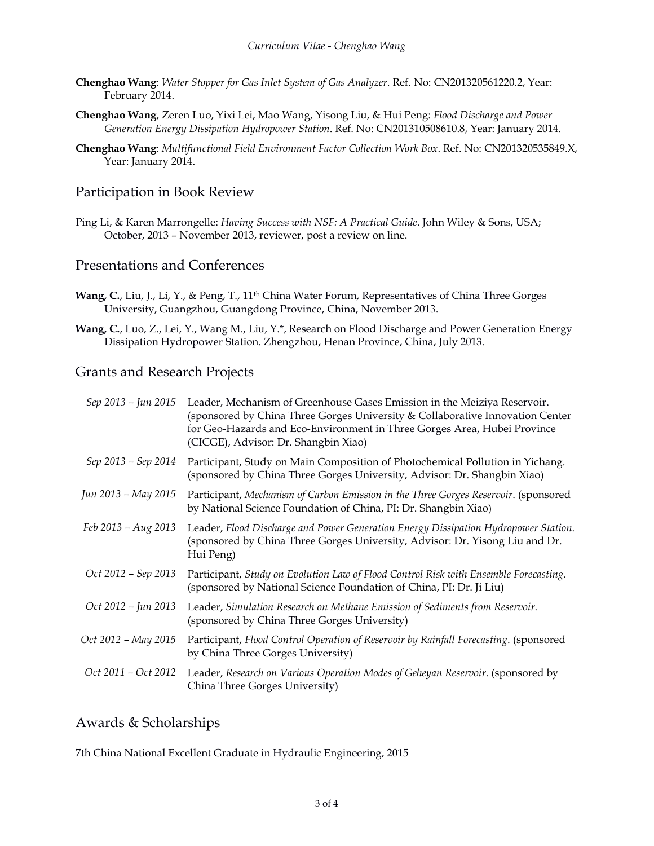- **Chenghao Wang**: *Water Stopper for Gas Inlet System of Gas Analyzer*. Ref. No: CN201320561220.2, Year: February 2014.
- **Chenghao Wang**, Zeren Luo, Yixi Lei, Mao Wang, Yisong Liu, & Hui Peng: *Flood Discharge and Power Generation Energy Dissipation Hydropower Station*. Ref. No: CN201310508610.8, Year: January 2014.
- **Chenghao Wang**: *Multifunctional Field Environment Factor Collection Work Box*. Ref. No: CN201320535849.X, Year: January 2014.

### Participation in Book Review

Ping Li, & Karen Marrongelle: *Having Success with NSF: A Practical Guide*. John Wiley & Sons, USA; October, 2013 – November 2013, reviewer, post a review on line.

#### Presentations and Conferences

- Wang, C., Liu, J., Li, Y., & Peng, T., 11<sup>th</sup> China Water Forum, Representatives of China Three Gorges University, Guangzhou, Guangdong Province, China, November 2013.
- **Wang, C.**, Luo, Z., Lei, Y., Wang M., Liu, Y.\*, Research on Flood Discharge and Power Generation Energy Dissipation Hydropower Station. Zhengzhou, Henan Province, China, July 2013.

#### Grants and Research Projects

| Sep 2013 - Jun 2015 | Leader, Mechanism of Greenhouse Gases Emission in the Meiziya Reservoir.<br>(sponsored by China Three Gorges University & Collaborative Innovation Center<br>for Geo-Hazards and Eco-Environment in Three Gorges Area, Hubei Province<br>(CICGE), Advisor: Dr. Shangbin Xiao) |
|---------------------|-------------------------------------------------------------------------------------------------------------------------------------------------------------------------------------------------------------------------------------------------------------------------------|
| Sep 2013 – Sep 2014 | Participant, Study on Main Composition of Photochemical Pollution in Yichang.<br>(sponsored by China Three Gorges University, Advisor: Dr. Shangbin Xiao)                                                                                                                     |
| Jun 2013 – May 2015 | Participant, Mechanism of Carbon Emission in the Three Gorges Reservoir. (sponsored<br>by National Science Foundation of China, PI: Dr. Shangbin Xiao)                                                                                                                        |
| Feb 2013 – Aug 2013 | Leader, Flood Discharge and Power Generation Energy Dissipation Hydropower Station.<br>(sponsored by China Three Gorges University, Advisor: Dr. Yisong Liu and Dr.<br>Hui Peng)                                                                                              |
| Oct 2012 – Sep 2013 | Participant, Study on Evolution Law of Flood Control Risk with Ensemble Forecasting.<br>(sponsored by National Science Foundation of China, PI: Dr. Ji Liu)                                                                                                                   |
| Oct 2012 - Jun 2013 | Leader, Simulation Research on Methane Emission of Sediments from Reservoir.<br>(sponsored by China Three Gorges University)                                                                                                                                                  |
| Oct 2012 – May 2015 | Participant, Flood Control Operation of Reservoir by Rainfall Forecasting. (sponsored<br>by China Three Gorges University)                                                                                                                                                    |
| Oct 2011 - Oct 2012 | Leader, Research on Various Operation Modes of Geheyan Reservoir. (sponsored by<br>China Three Gorges University)                                                                                                                                                             |

#### Awards & Scholarships

7th China National Excellent Graduate in Hydraulic Engineering, 2015